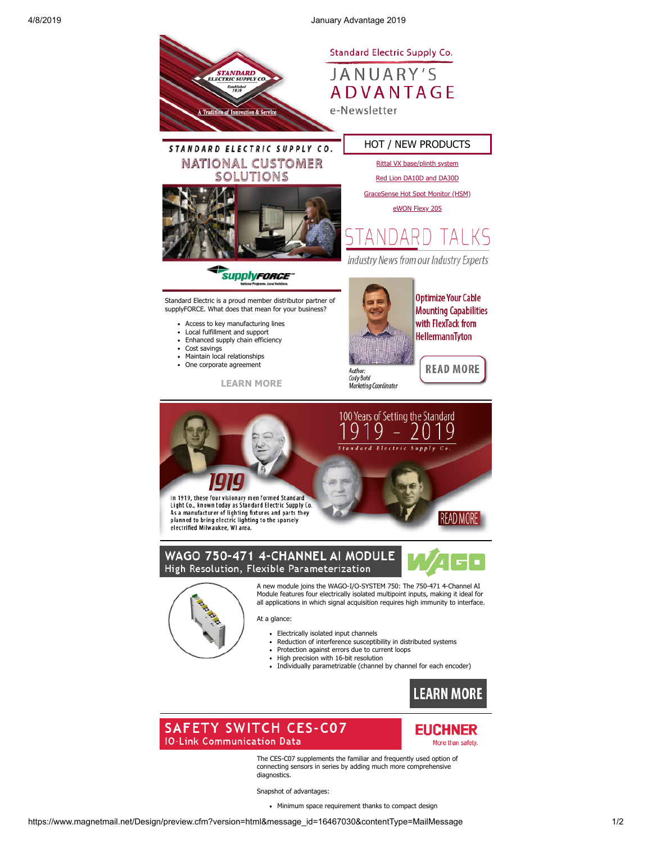4/8/2019 January Advantage 2019



The CES-C07 supplements the familiar and frequently used option of connecting sensors in series by adding much more comprehensive diagnostics.

Snapshot of advantages:

• Minimum space requirement thanks to compact design